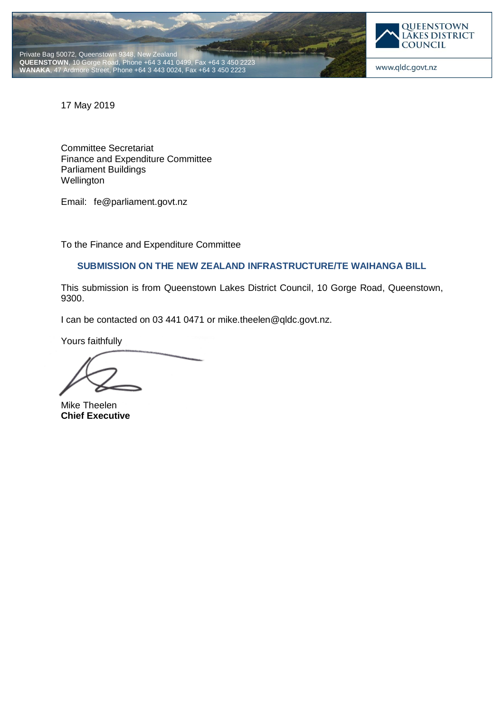



www.qldc.govt.nz

17 May 2019

Committee Secretariat Finance and Expenditure Committee Parliament Buildings **Wellington** 

Email: fe@parliament.govt.nz

To the Finance and Expenditure Committee

# **SUBMISSION ON THE NEW ZEALAND INFRASTRUCTURE/TE WAIHANGA BILL**

This submission is from Queenstown Lakes District Council, 10 Gorge Road, Queenstown, 9300.

I can be contacted on 03 441 0471 or mike.theelen@qldc.govt.nz.

Yours faithfully

Mike Theelen **Chief Executive**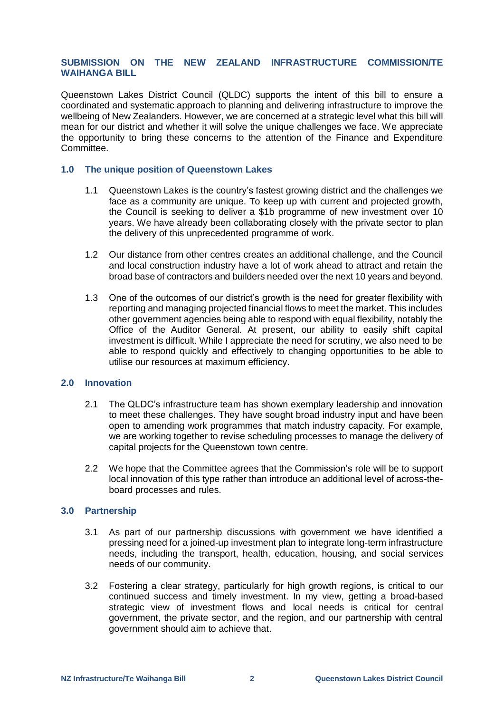## **SUBMISSION ON THE NEW ZEALAND INFRASTRUCTURE COMMISSION/TE WAIHANGA BILL**

Queenstown Lakes District Council (QLDC) supports the intent of this bill to ensure a coordinated and systematic approach to planning and delivering infrastructure to improve the wellbeing of New Zealanders. However, we are concerned at a strategic level what this bill will mean for our district and whether it will solve the unique challenges we face. We appreciate the opportunity to bring these concerns to the attention of the Finance and Expenditure Committee.

### **1.0 The unique position of Queenstown Lakes**

- 1.1 Queenstown Lakes is the country's fastest growing district and the challenges we face as a community are unique. To keep up with current and projected growth, the Council is seeking to deliver a \$1b programme of new investment over 10 years. We have already been collaborating closely with the private sector to plan the delivery of this unprecedented programme of work.
- 1.2 Our distance from other centres creates an additional challenge, and the Council and local construction industry have a lot of work ahead to attract and retain the broad base of contractors and builders needed over the next 10 years and beyond.
- 1.3 One of the outcomes of our district's growth is the need for greater flexibility with reporting and managing projected financial flows to meet the market. This includes other government agencies being able to respond with equal flexibility, notably the Office of the Auditor General. At present, our ability to easily shift capital investment is difficult. While I appreciate the need for scrutiny, we also need to be able to respond quickly and effectively to changing opportunities to be able to utilise our resources at maximum efficiency.

#### **2.0 Innovation**

- 2.1 The QLDC's infrastructure team has shown exemplary leadership and innovation to meet these challenges. They have sought broad industry input and have been open to amending work programmes that match industry capacity. For example, we are working together to revise scheduling processes to manage the delivery of capital projects for the Queenstown town centre.
- 2.2 We hope that the Committee agrees that the Commission's role will be to support local innovation of this type rather than introduce an additional level of across-theboard processes and rules.

#### **3.0 Partnership**

- 3.1 As part of our partnership discussions with government we have identified a pressing need for a joined-up investment plan to integrate long-term infrastructure needs, including the transport, health, education, housing, and social services needs of our community.
- 3.2 Fostering a clear strategy, particularly for high growth regions, is critical to our continued success and timely investment. In my view, getting a broad-based strategic view of investment flows and local needs is critical for central government, the private sector, and the region, and our partnership with central government should aim to achieve that.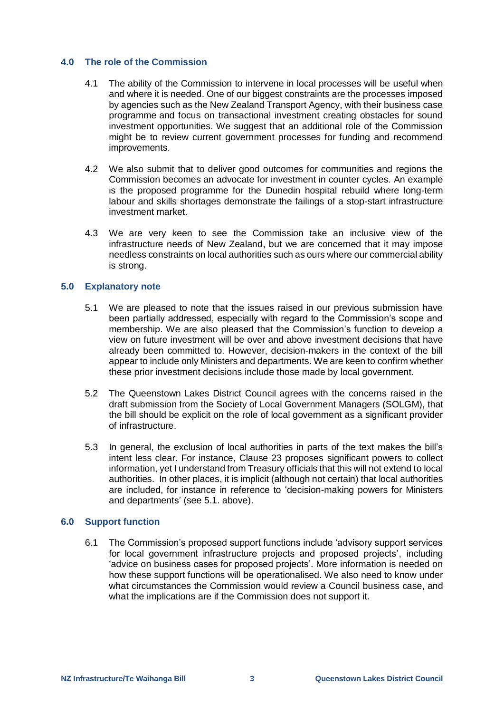## **4.0 The role of the Commission**

- 4.1 The ability of the Commission to intervene in local processes will be useful when and where it is needed. One of our biggest constraints are the processes imposed by agencies such as the New Zealand Transport Agency, with their business case programme and focus on transactional investment creating obstacles for sound investment opportunities. We suggest that an additional role of the Commission might be to review current government processes for funding and recommend improvements.
- 4.2 We also submit that to deliver good outcomes for communities and regions the Commission becomes an advocate for investment in counter cycles. An example is the proposed programme for the Dunedin hospital rebuild where long-term labour and skills shortages demonstrate the failings of a stop-start infrastructure investment market.
- 4.3 We are very keen to see the Commission take an inclusive view of the infrastructure needs of New Zealand, but we are concerned that it may impose needless constraints on local authorities such as ours where our commercial ability is strong.

## **5.0 Explanatory note**

- 5.1 We are pleased to note that the issues raised in our previous submission have been partially addressed, especially with regard to the Commission's scope and membership. We are also pleased that the Commission's function to develop a view on future investment will be over and above investment decisions that have already been committed to. However, decision-makers in the context of the bill appear to include only Ministers and departments. We are keen to confirm whether these prior investment decisions include those made by local government.
- 5.2 The Queenstown Lakes District Council agrees with the concerns raised in the draft submission from the Society of Local Government Managers (SOLGM), that the bill should be explicit on the role of local government as a significant provider of infrastructure.
- 5.3 In general, the exclusion of local authorities in parts of the text makes the bill's intent less clear. For instance, Clause 23 proposes significant powers to collect information, yet I understand from Treasury officials that this will not extend to local authorities. In other places, it is implicit (although not certain) that local authorities are included, for instance in reference to 'decision-making powers for Ministers and departments' (see 5.1. above).

## **6.0 Support function**

6.1 The Commission's proposed support functions include 'advisory support services for local government infrastructure projects and proposed projects', including 'advice on business cases for proposed projects'. More information is needed on how these support functions will be operationalised. We also need to know under what circumstances the Commission would review a Council business case, and what the implications are if the Commission does not support it.